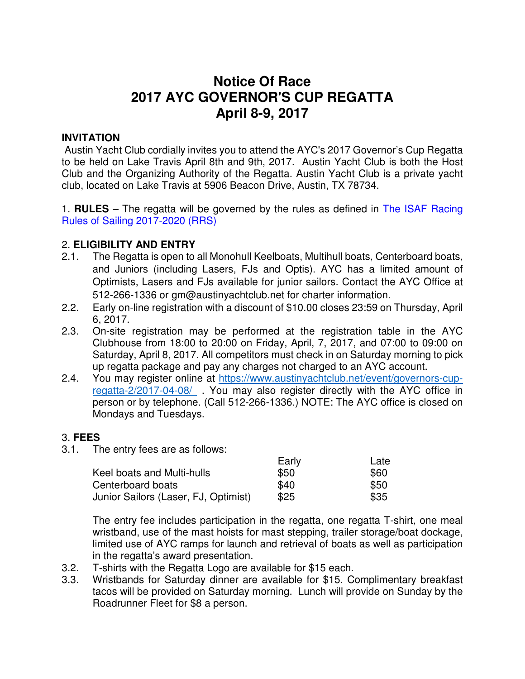# **Notice Of Race 2017 AYC GOVERNOR'S CUP REGATTA April 8-9, 2017**

## **INVITATION**

 Austin Yacht Club cordially invites you to attend the AYC's 2017 Governor's Cup Regatta to be held on Lake Travis April 8th and 9th, 2017. Austin Yacht Club is both the Host Club and the Organizing Authority of the Regatta. Austin Yacht Club is a private yacht club, located on Lake Travis at 5906 Beacon Drive, Austin, TX 78734.

1. **RULES** – The regatta will be governed by the rules as defined in The ISAF Racing Rules of Sailing 2017-2020 (RRS)

## 2. **ELIGIBILITY AND ENTRY**

- 2.1. The Regatta is open to all Monohull Keelboats, Multihull boats, Centerboard boats, and Juniors (including Lasers, FJs and Optis). AYC has a limited amount of Optimists, Lasers and FJs available for junior sailors. Contact the AYC Office at 512-266-1336 or gm@austinyachtclub.net for charter information.
- 2.2. Early on-line registration with a discount of \$10.00 closes 23:59 on Thursday, April 6, 2017.
- 2.3. On-site registration may be performed at the registration table in the AYC Clubhouse from 18:00 to 20:00 on Friday, April, 7, 2017, and 07:00 to 09:00 on Saturday, April 8, 2017. All competitors must check in on Saturday morning to pick up regatta package and pay any charges not charged to an AYC account.
- 2.4. You may register online at https://www.austinyachtclub.net/event/governors-cupregatta-2/2017-04-08/ . You may also register directly with the AYC office in person or by telephone. (Call 512-266-1336.) NOTE: The AYC office is closed on Mondays and Tuesdays.

#### 3. **FEES**

3.1. The entry fees are as follows:

|                                      | Early | Late |
|--------------------------------------|-------|------|
| Keel boats and Multi-hulls           | \$50  | \$60 |
| Centerboard boats                    | \$40  | \$50 |
| Junior Sailors (Laser, FJ, Optimist) | \$25  | \$35 |

The entry fee includes participation in the regatta, one regatta T-shirt, one meal wristband, use of the mast hoists for mast stepping, trailer storage/boat dockage, limited use of AYC ramps for launch and retrieval of boats as well as participation in the regatta's award presentation.

- 3.2. T-shirts with the Regatta Logo are available for \$15 each.
- 3.3. Wristbands for Saturday dinner are available for \$15. Complimentary breakfast tacos will be provided on Saturday morning. Lunch will provide on Sunday by the Roadrunner Fleet for \$8 a person.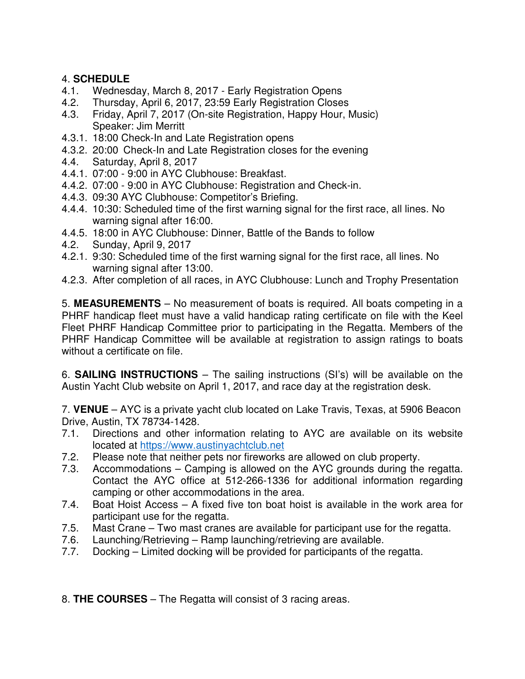# 4. **SCHEDULE**

- 4.1. Wednesday, March 8, 2017 Early Registration Opens
- 4.2. Thursday, April 6, 2017, 23:59 Early Registration Closes
- 4.3. Friday, April 7, 2017 (On-site Registration, Happy Hour, Music) Speaker: Jim Merritt
- 4.3.1. 18:00 Check-In and Late Registration opens
- 4.3.2. 20:00 Check-In and Late Registration closes for the evening
- 4.4. Saturday, April 8, 2017
- 4.4.1. 07:00 9:00 in AYC Clubhouse: Breakfast.
- 4.4.2. 07:00 9:00 in AYC Clubhouse: Registration and Check-in.
- 4.4.3. 09:30 AYC Clubhouse: Competitor's Briefing.
- 4.4.4. 10:30: Scheduled time of the first warning signal for the first race, all lines. No warning signal after 16:00.
- 4.4.5. 18:00 in AYC Clubhouse: Dinner, Battle of the Bands to follow
- 4.2. Sunday, April 9, 2017
- 4.2.1. 9:30: Scheduled time of the first warning signal for the first race, all lines. No warning signal after 13:00.
- 4.2.3. After completion of all races, in AYC Clubhouse: Lunch and Trophy Presentation

5. **MEASUREMENTS** – No measurement of boats is required. All boats competing in a PHRF handicap fleet must have a valid handicap rating certificate on file with the Keel Fleet PHRF Handicap Committee prior to participating in the Regatta. Members of the PHRF Handicap Committee will be available at registration to assign ratings to boats without a certificate on file.

6. **SAILING INSTRUCTIONS** – The sailing instructions (SI's) will be available on the Austin Yacht Club website on April 1, 2017, and race day at the registration desk.

7. **VENUE** – AYC is a private yacht club located on Lake Travis, Texas, at 5906 Beacon Drive, Austin, TX 78734-1428.

- 7.1. Directions and other information relating to AYC are available on its website located at https://www.austinyachtclub.net
- 7.2. Please note that neither pets nor fireworks are allowed on club property.
- 7.3. Accommodations Camping is allowed on the AYC grounds during the regatta. Contact the AYC office at 512-266-1336 for additional information regarding camping or other accommodations in the area.
- 7.4. Boat Hoist Access A fixed five ton boat hoist is available in the work area for participant use for the regatta.
- 7.5. Mast Crane Two mast cranes are available for participant use for the regatta.
- 7.6. Launching/Retrieving Ramp launching/retrieving are available.
- 7.7. Docking Limited docking will be provided for participants of the regatta.

## 8. **THE COURSES** – The Regatta will consist of 3 racing areas.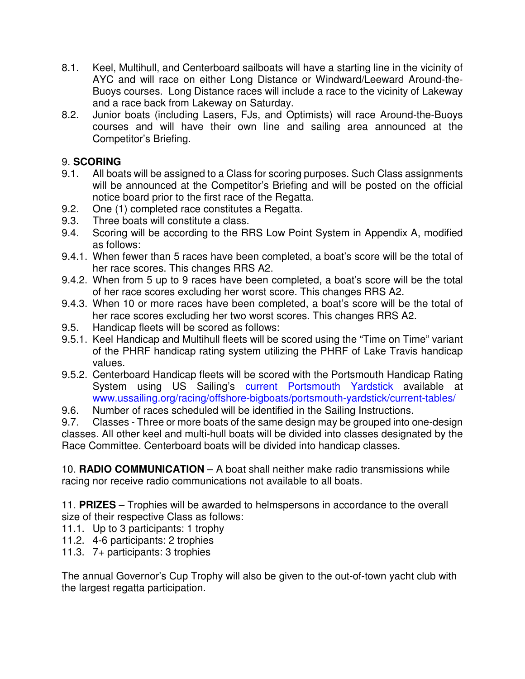- 8.1. Keel, Multihull, and Centerboard sailboats will have a starting line in the vicinity of AYC and will race on either Long Distance or Windward/Leeward Around-the-Buoys courses. Long Distance races will include a race to the vicinity of Lakeway and a race back from Lakeway on Saturday.
- 8.2. Junior boats (including Lasers, FJs, and Optimists) will race Around-the-Buoys courses and will have their own line and sailing area announced at the Competitor's Briefing.

# 9. **SCORING**

- 9.1. All boats will be assigned to a Class for scoring purposes. Such Class assignments will be announced at the Competitor's Briefing and will be posted on the official notice board prior to the first race of the Regatta.
- 9.2. One (1) completed race constitutes a Regatta.
- 9.3. Three boats will constitute a class.
- 9.4. Scoring will be according to the RRS Low Point System in Appendix A, modified as follows:
- 9.4.1. When fewer than 5 races have been completed, a boat's score will be the total of her race scores. This changes RRS A2.
- 9.4.2. When from 5 up to 9 races have been completed, a boat's score will be the total of her race scores excluding her worst score. This changes RRS A2.
- 9.4.3. When 10 or more races have been completed, a boat's score will be the total of her race scores excluding her two worst scores. This changes RRS A2.
- 9.5. Handicap fleets will be scored as follows:
- 9.5.1. Keel Handicap and Multihull fleets will be scored using the "Time on Time" variant of the PHRF handicap rating system utilizing the PHRF of Lake Travis handicap values.
- 9.5.2. Centerboard Handicap fleets will be scored with the Portsmouth Handicap Rating System using US Sailing's current Portsmouth Yardstick available at www.ussailing.org/racing/offshore-bigboats/portsmouth-yardstick/current-tables/
- 9.6. Number of races scheduled will be identified in the Sailing Instructions.

9.7. Classes - Three or more boats of the same design may be grouped into one-design classes. All other keel and multi-hull boats will be divided into classes designated by the Race Committee. Centerboard boats will be divided into handicap classes.

10. **RADIO COMMUNICATION** – A boat shall neither make radio transmissions while racing nor receive radio communications not available to all boats.

11. **PRIZES** – Trophies will be awarded to helmspersons in accordance to the overall size of their respective Class as follows:

- 11.1. Up to 3 participants: 1 trophy
- 11.2. 4-6 participants: 2 trophies
- 11.3. 7+ participants: 3 trophies

The annual Governor's Cup Trophy will also be given to the out-of-town yacht club with the largest regatta participation.